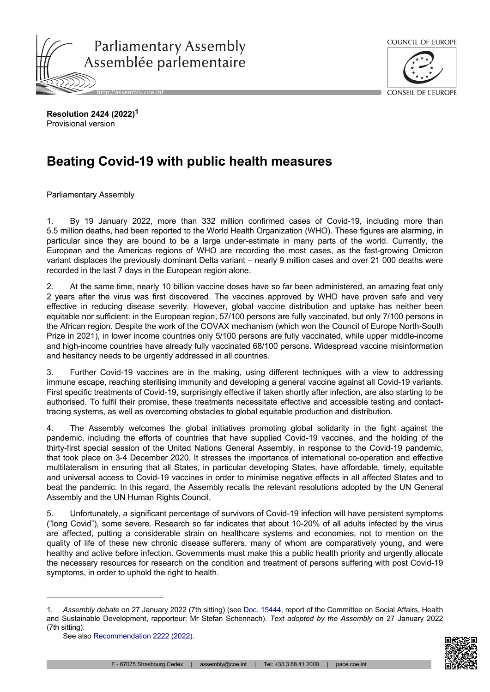



**Resolution 2424 (2022)<sup>1</sup>** Provisional version

## **Beating Covid-19 with public health measures**

Parliamentary Assembly

1. By 19 January 2022, more than 332 million confirmed cases of Covid-19, including more than 5.5 million deaths, had been reported to the World Health Organization (WHO). These figures are alarming, in particular since they are bound to be a large under-estimate in many parts of the world. Currently, the European and the Americas regions of WHO are recording the most cases, as the fast-growing Omicron variant displaces the previously dominant Delta variant – nearly 9 million cases and over 21 000 deaths were recorded in the last 7 days in the European region alone.

2. At the same time, nearly 10 billion vaccine doses have so far been administered, an amazing feat only 2 years after the virus was first discovered. The vaccines approved by WHO have proven safe and very effective in reducing disease severity. However, global vaccine distribution and uptake has neither been equitable nor sufficient: in the European region, 57/100 persons are fully vaccinated, but only 7/100 persons in the African region. Despite the work of the COVAX mechanism (which won the Council of Europe North-South Prize in 2021), in lower income countries only 5/100 persons are fully vaccinated, while upper middle-income and high-income countries have already fully vaccinated 68/100 persons. Widespread vaccine misinformation and hesitancy needs to be urgently addressed in all countries.

3. Further Covid-19 vaccines are in the making, using different techniques with a view to addressing immune escape, reaching sterilising immunity and developing a general vaccine against all Covid-19 variants. First specific treatments of Covid-19, surprisingly effective if taken shortly after infection, are also starting to be authorised. To fulfil their promise, these treatments necessitate effective and accessible testing and contacttracing systems, as well as overcoming obstacles to global equitable production and distribution.

4. The Assembly welcomes the global initiatives promoting global solidarity in the fight against the pandemic, including the efforts of countries that have supplied Covid-19 vaccines, and the holding of the thirty-first special session of the United Nations General Assembly, in response to the Covid-19 pandemic, that took place on 3-4 December 2020. It stresses the importance of international co-operation and effective multilateralism in ensuring that all States, in particular developing States, have affordable, timely, equitable and universal access to Covid-19 vaccines in order to minimise negative effects in all affected States and to beat the pandemic. In this regard, the Assembly recalls the relevant resolutions adopted by the UN General Assembly and the UN Human Rights Council.

5. Unfortunately, a significant percentage of survivors of Covid-19 infection will have persistent symptoms ("long Covid"), some severe. Research so far indicates that about 10-20% of all adults infected by the virus are affected, putting a considerable strain on healthcare systems and economies, not to mention on the quality of life of these new chronic disease sufferers, many of whom are comparatively young, and were healthy and active before infection. Governments must make this a public health priority and urgently allocate the necessary resources for research on the condition and treatment of persons suffering with post Covid-19 symptoms, in order to uphold the right to health.



<sup>1.</sup> *Assembly debate* on 27 January 2022 (7th sitting) (see [Doc. 15444,](https://pace.coe.int/en/files/29717) report of the Committee on Social Affairs, Health and Sustainable Development, rapporteur: Mr Stefan Schennach). *Text adopted by the Assembly* on 27 January 2022 (7th sitting).

See also [Recommendation 2222 \(2022\).](https://pace.coe.int/en/files/29797)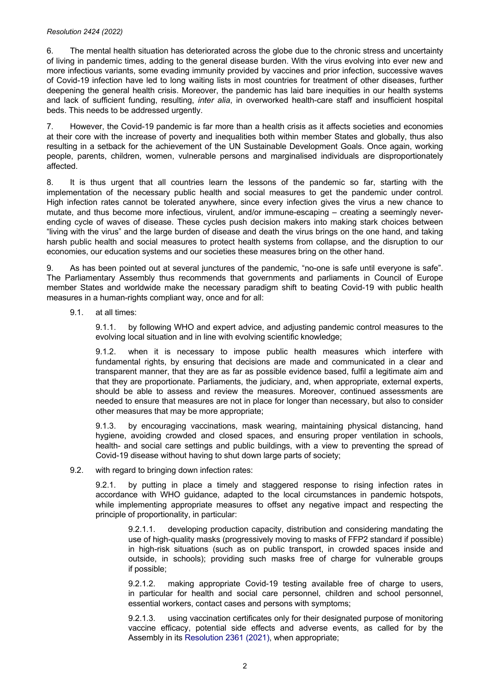## *Resolution 2424 (2022)*

6. The mental health situation has deteriorated across the globe due to the chronic stress and uncertainty of living in pandemic times, adding to the general disease burden. With the virus evolving into ever new and more infectious variants, some evading immunity provided by vaccines and prior infection, successive waves of Covid-19 infection have led to long waiting lists in most countries for treatment of other diseases, further deepening the general health crisis. Moreover, the pandemic has laid bare inequities in our health systems and lack of sufficient funding, resulting, *inter alia*, in overworked health-care staff and insufficient hospital beds. This needs to be addressed urgently.

7. However, the Covid-19 pandemic is far more than a health crisis as it affects societies and economies at their core with the increase of poverty and inequalities both within member States and globally, thus also resulting in a setback for the achievement of the UN Sustainable Development Goals. Once again, working people, parents, children, women, vulnerable persons and marginalised individuals are disproportionately affected.

8. It is thus urgent that all countries learn the lessons of the pandemic so far, starting with the implementation of the necessary public health and social measures to get the pandemic under control. High infection rates cannot be tolerated anywhere, since every infection gives the virus a new chance to mutate, and thus become more infectious, virulent, and/or immune-escaping – creating a seemingly neverending cycle of waves of disease. These cycles push decision makers into making stark choices between "living with the virus" and the large burden of disease and death the virus brings on the one hand, and taking harsh public health and social measures to protect health systems from collapse, and the disruption to our economies, our education systems and our societies these measures bring on the other hand.

9. As has been pointed out at several junctures of the pandemic, "no-one is safe until everyone is safe". The Parliamentary Assembly thus recommends that governments and parliaments in Council of Europe member States and worldwide make the necessary paradigm shift to beating Covid-19 with public health measures in a human-rights compliant way, once and for all:

9.1. at all times:

9.1.1. by following WHO and expert advice, and adjusting pandemic control measures to the evolving local situation and in line with evolving scientific knowledge;

9.1.2. when it is necessary to impose public health measures which interfere with fundamental rights, by ensuring that decisions are made and communicated in a clear and transparent manner, that they are as far as possible evidence based, fulfil a legitimate aim and that they are proportionate. Parliaments, the judiciary, and, when appropriate, external experts, should be able to assess and review the measures. Moreover, continued assessments are needed to ensure that measures are not in place for longer than necessary, but also to consider other measures that may be more appropriate;

9.1.3. by encouraging vaccinations, mask wearing, maintaining physical distancing, hand hygiene, avoiding crowded and closed spaces, and ensuring proper ventilation in schools, health- and social care settings and public buildings, with a view to preventing the spread of Covid-19 disease without having to shut down large parts of society;

9.2. with regard to bringing down infection rates:

9.2.1. by putting in place a timely and staggered response to rising infection rates in accordance with WHO guidance, adapted to the local circumstances in pandemic hotspots, while implementing appropriate measures to offset any negative impact and respecting the principle of proportionality, in particular:

9.2.1.1. developing production capacity, distribution and considering mandating the use of high-quality masks (progressively moving to masks of FFP2 standard if possible) in high-risk situations (such as on public transport, in crowded spaces inside and outside, in schools); providing such masks free of charge for vulnerable groups if possible;

9.2.1.2. making appropriate Covid-19 testing available free of charge to users, in particular for health and social care personnel, children and school personnel, essential workers, contact cases and persons with symptoms;

9.2.1.3. using vaccination certificates only for their designated purpose of monitoring vaccine efficacy, potential side effects and adverse events, as called for by the Assembly in its [Resolution 2361 \(2021\)](https://pace.coe.int/en/files/29004), when appropriate;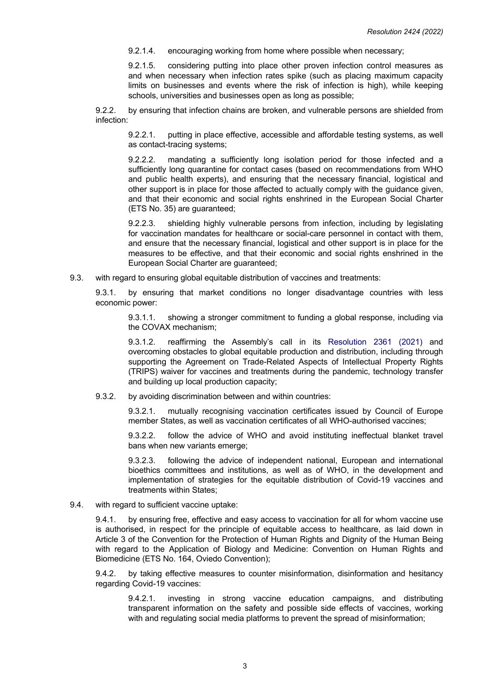9.2.1.4. encouraging working from home where possible when necessary;

9.2.1.5. considering putting into place other proven infection control measures as and when necessary when infection rates spike (such as placing maximum capacity limits on businesses and events where the risk of infection is high), while keeping schools, universities and businesses open as long as possible;

9.2.2. by ensuring that infection chains are broken, and vulnerable persons are shielded from infection:

9.2.2.1. putting in place effective, accessible and affordable testing systems, as well as contact-tracing systems;

9.2.2.2. mandating a sufficiently long isolation period for those infected and a sufficiently long quarantine for contact cases (based on recommendations from WHO and public health experts), and ensuring that the necessary financial, logistical and other support is in place for those affected to actually comply with the guidance given, and that their economic and social rights enshrined in the European Social Charter (ETS No. 35) are guaranteed;

9.2.2.3. shielding highly vulnerable persons from infection, including by legislating for vaccination mandates for healthcare or social-care personnel in contact with them, and ensure that the necessary financial, logistical and other support is in place for the measures to be effective, and that their economic and social rights enshrined in the European Social Charter are guaranteed;

9.3. with regard to ensuring global equitable distribution of vaccines and treatments:

9.3.1. by ensuring that market conditions no longer disadvantage countries with less economic power:

9.3.1.1. showing a stronger commitment to funding a global response, including via the COVAX mechanism;

9.3.1.2. reaffirming the Assembly's call in its [Resolution](https://pace.coe.int/en/files/29004) 2361 (2021) and overcoming obstacles to global equitable production and distribution, including through supporting the Agreement on Trade-Related Aspects of Intellectual Property Rights (TRIPS) waiver for vaccines and treatments during the pandemic, technology transfer and building up local production capacity;

9.3.2. by avoiding discrimination between and within countries:

9.3.2.1. mutually recognising vaccination certificates issued by Council of Europe member States, as well as vaccination certificates of all WHO-authorised vaccines;

9.3.2.2. follow the advice of WHO and avoid instituting ineffectual blanket travel bans when new variants emerge;

9.3.2.3. following the advice of independent national, European and international bioethics committees and institutions, as well as of WHO, in the development and implementation of strategies for the equitable distribution of Covid-19 vaccines and treatments within States;

9.4. with regard to sufficient vaccine uptake:

9.4.1. by ensuring free, effective and easy access to vaccination for all for whom vaccine use is authorised, in respect for the principle of equitable access to healthcare, as laid down in Article 3 of the Convention for the Protection of Human Rights and Dignity of the Human Being with regard to the Application of Biology and Medicine: Convention on Human Rights and Biomedicine (ETS No. 164, Oviedo Convention);

9.4.2. by taking effective measures to counter misinformation, disinformation and hesitancy regarding Covid-19 vaccines:

9.4.2.1. investing in strong vaccine education campaigns, and distributing transparent information on the safety and possible side effects of vaccines, working with and regulating social media platforms to prevent the spread of misinformation;